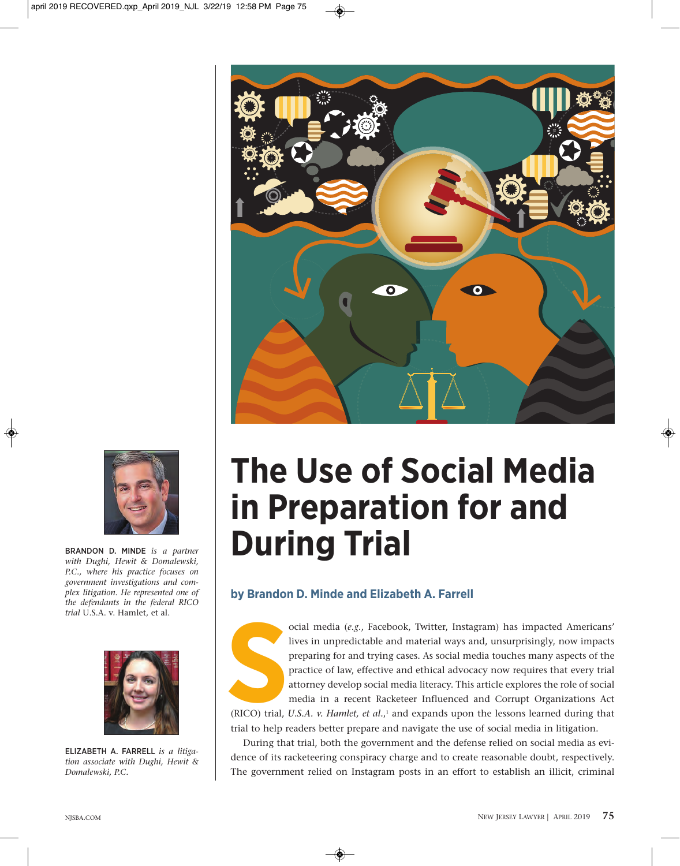



BRANDON D. MINDE *is a partner with Dughi, Hewit & Domalewski, P.C., where his practice focuses on government investigations and complex litigation. He represented one of the defendants in the federal RICO trial* U.S.A. v. Hamlet, et al.



ELIzABETH A. FARRELL *is a litigation associate with Dughi, Hewit & Domalewski, P.C.*

# **The Use of Social Media in Preparation for and During Trial**

## **by Brandon D. Minde and Elizabeth A. Farrell**



ocial media (*e.g*., Facebook, Twitter, Instagram) has impacted Americans' lives in unpredictable and material ways and, unsurprisingly, now impacts preparing for and trying cases. As social media touches many aspects of the practice of law, effective and ethical advocacy now requires that every trial attorney develop social media literacy. This article explores the role of social media in a recent Racketeer Influenced and Corrupt Organizations Act (RICO) trial, *U.S.A. v. Hamlet, et al.*,<sup>1</sup> and expands upon the lessons learned during that

trial to help readers better prepare and navigate the use of social media in litigation.

During that trial, both the government and the defense relied on social media as evidence of its racketeering conspiracy charge and to create reasonable doubt, respectively. The government relied on Instagram posts in an effort to establish an illicit, criminal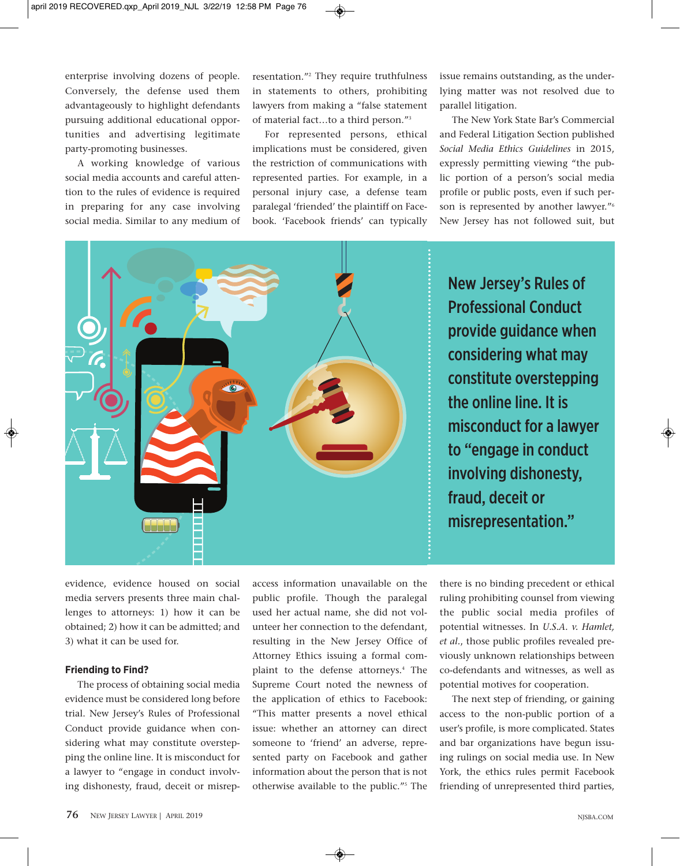enterprise involving dozens of people. Conversely, the defense used them advantageously to highlight defendants pursuing additional educational opportunities and advertising legitimate party-promoting businesses.

A working knowledge of various social media accounts and careful attention to the rules of evidence is required in preparing for any case involving social media. Similar to any medium of resentation."2 They require truthfulness in statements to others, prohibiting lawyers from making a "false statement of material fact…to a third person."3

For represented persons, ethical implications must be considered, given the restriction of communications with represented parties. For example, in a personal injury case, a defense team paralegal 'friended' the plaintiff on Facebook. 'Facebook friends' can typically

issue remains outstanding, as the underlying matter was not resolved due to parallel litigation.

The New York State Bar's Commercial and Federal Litigation Section published *Social Media Ethics Guidelines* in 2015, expressly permitting viewing "the public portion of a person's social media profile or public posts, even if such person is represented by another lawyer."6 New Jersey has not followed suit, but



evidence, evidence housed on social media servers presents three main challenges to attorneys: 1) how it can be obtained; 2) how it can be admitted; and 3) what it can be used for.

#### **Friending to Find?**

The process of obtaining social media evidence must be considered long before trial. New Jersey's Rules of Professional Conduct provide guidance when considering what may constitute overstepping the online line. It is misconduct for a lawyer to "engage in conduct involving dishonesty, fraud, deceit or misrepaccess information unavailable on the public profile. Though the paralegal used her actual name, she did not volunteer her connection to the defendant, resulting in the New Jersey Office of Attorney Ethics issuing a formal complaint to the defense attorneys.4 The Supreme Court noted the newness of the application of ethics to Facebook: "This matter presents a novel ethical issue: whether an attorney can direct someone to 'friend' an adverse, represented party on Facebook and gather information about the person that is not otherwise available to the public."5 The

there is no binding precedent or ethical ruling prohibiting counsel from viewing the public social media profiles of potential witnesses. In *U.S.A. v. Hamlet, et al.*, those public profiles revealed previously unknown relationships between co-defendants and witnesses, as well as potential motives for cooperation.

The next step of friending, or gaining access to the non-public portion of a user's profile, is more complicated. States and bar organizations have begun issuing rulings on social media use. In New York, the ethics rules permit Facebook friending of unrepresented third parties,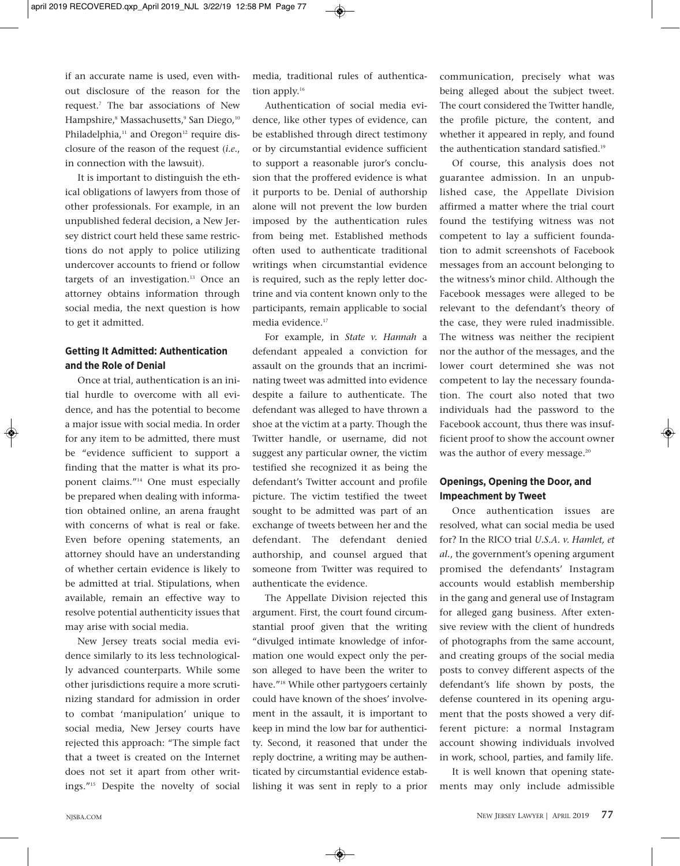if an accurate name is used, even without disclosure of the reason for the request.7 The bar associations of New Hampshire,<sup>8</sup> Massachusetts,<sup>9</sup> San Diego,<sup>10</sup> Philadelphia,<sup>11</sup> and Oregon<sup>12</sup> require disclosure of the reason of the request (*i.e*., in connection with the lawsuit).

It is important to distinguish the ethical obligations of lawyers from those of other professionals. For example, in an unpublished federal decision, a New Jersey district court held these same restrictions do not apply to police utilizing undercover accounts to friend or follow targets of an investigation.<sup>13</sup> Once an attorney obtains information through social media, the next question is how to get it admitted.

### **Getting It Admitted: Authentication and the Role of Denial**

Once at trial, authentication is an initial hurdle to overcome with all evidence, and has the potential to become a major issue with social media. In order for any item to be admitted, there must be "evidence sufficient to support a finding that the matter is what its proponent claims."14 One must especially be prepared when dealing with information obtained online, an arena fraught with concerns of what is real or fake. Even before opening statements, an attorney should have an understanding of whether certain evidence is likely to be admitted at trial. Stipulations, when available, remain an effective way to resolve potential authenticity issues that may arise with social media.

New Jersey treats social media evidence similarly to its less technologically advanced counterparts. While some other jurisdictions require a more scrutinizing standard for admission in order to combat 'manipulation' unique to social media, New Jersey courts have rejected this approach: "The simple fact that a tweet is created on the Internet does not set it apart from other writings."15 Despite the novelty of social

media, traditional rules of authentication apply.<sup>16</sup>

Authentication of social media evidence, like other types of evidence, can be established through direct testimony or by circumstantial evidence sufficient to support a reasonable juror's conclusion that the proffered evidence is what it purports to be. Denial of authorship alone will not prevent the low burden imposed by the authentication rules from being met. Established methods often used to authenticate traditional writings when circumstantial evidence is required, such as the reply letter doctrine and via content known only to the participants, remain applicable to social media evidence.<sup>17</sup>

For example, in *State v. Hannah* a defendant appealed a conviction for assault on the grounds that an incriminating tweet was admitted into evidence despite a failure to authenticate. The defendant was alleged to have thrown a shoe at the victim at a party. Though the Twitter handle, or username, did not suggest any particular owner, the victim testified she recognized it as being the defendant's Twitter account and profile picture. The victim testified the tweet sought to be admitted was part of an exchange of tweets between her and the defendant. The defendant denied authorship, and counsel argued that someone from Twitter was required to authenticate the evidence.

The Appellate Division rejected this argument. First, the court found circumstantial proof given that the writing "divulged intimate knowledge of information one would expect only the person alleged to have been the writer to have."18 While other partygoers certainly could have known of the shoes' involvement in the assault, it is important to keep in mind the low bar for authenticity. Second, it reasoned that under the reply doctrine, a writing may be authenticated by circumstantial evidence establishing it was sent in reply to a prior communication, precisely what was being alleged about the subject tweet. The court considered the Twitter handle, the profile picture, the content, and whether it appeared in reply, and found the authentication standard satisfied.<sup>19</sup>

Of course, this analysis does not guarantee admission. In an unpublished case, the Appellate Division affirmed a matter where the trial court found the testifying witness was not competent to lay a sufficient foundation to admit screenshots of Facebook messages from an account belonging to the witness's minor child. Although the Facebook messages were alleged to be relevant to the defendant's theory of the case, they were ruled inadmissible. The witness was neither the recipient nor the author of the messages, and the lower court determined she was not competent to lay the necessary foundation. The court also noted that two individuals had the password to the Facebook account, thus there was insufficient proof to show the account owner was the author of every message.<sup>20</sup>

#### **Openings, Opening the Door, and Impeachment by Tweet**

Once authentication issues are resolved, what can social media be used for? In the RICO trial *U.S.A. v. Hamlet, et al.*, the government's opening argument promised the defendants' Instagram accounts would establish membership in the gang and general use of Instagram for alleged gang business. After extensive review with the client of hundreds of photographs from the same account, and creating groups of the social media posts to convey different aspects of the defendant's life shown by posts, the defense countered in its opening argument that the posts showed a very different picture: a normal Instagram account showing individuals involved in work, school, parties, and family life.

It is well known that opening statements may only include admissible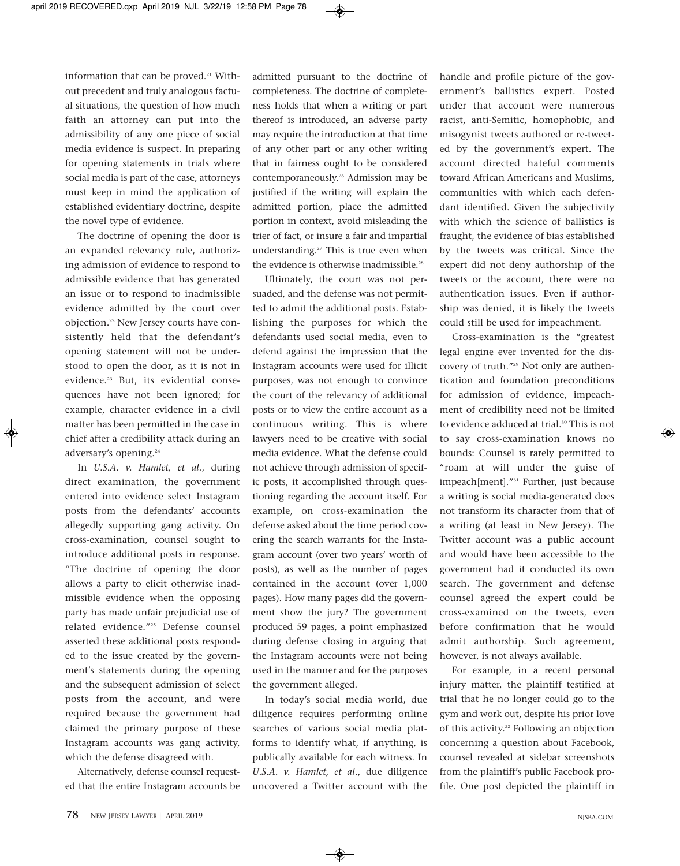information that can be proved.<sup>21</sup> Without precedent and truly analogous factual situations, the question of how much faith an attorney can put into the admissibility of any one piece of social media evidence is suspect. In preparing for opening statements in trials where social media is part of the case, attorneys must keep in mind the application of established evidentiary doctrine, despite the novel type of evidence.

The doctrine of opening the door is an expanded relevancy rule, authorizing admission of evidence to respond to admissible evidence that has generated an issue or to respond to inadmissible evidence admitted by the court over objection.22 New Jersey courts have consistently held that the defendant's opening statement will not be understood to open the door, as it is not in evidence.<sup>23</sup> But, its evidential consequences have not been ignored; for example, character evidence in a civil matter has been permitted in the case in chief after a credibility attack during an adversary's opening.24

In *U.S.A. v. Hamlet, et al.*, during direct examination, the government entered into evidence select Instagram posts from the defendants' accounts allegedly supporting gang activity. On cross-examination, counsel sought to introduce additional posts in response. "The doctrine of opening the door allows a party to elicit otherwise inadmissible evidence when the opposing party has made unfair prejudicial use of related evidence."25 Defense counsel asserted these additional posts responded to the issue created by the government's statements during the opening and the subsequent admission of select posts from the account, and were required because the government had claimed the primary purpose of these Instagram accounts was gang activity, which the defense disagreed with.

Alternatively, defense counsel requested that the entire Instagram accounts be admitted pursuant to the doctrine of completeness. The doctrine of completeness holds that when a writing or part thereof is introduced, an adverse party may require the introduction at that time of any other part or any other writing that in fairness ought to be considered contemporaneously.26 Admission may be justified if the writing will explain the admitted portion, place the admitted portion in context, avoid misleading the trier of fact, or insure a fair and impartial understanding.<sup>27</sup> This is true even when the evidence is otherwise inadmissible.<sup>28</sup>

Ultimately, the court was not persuaded, and the defense was not permitted to admit the additional posts. Establishing the purposes for which the defendants used social media, even to defend against the impression that the Instagram accounts were used for illicit purposes, was not enough to convince the court of the relevancy of additional posts or to view the entire account as a continuous writing. This is where lawyers need to be creative with social media evidence. What the defense could not achieve through admission of specific posts, it accomplished through questioning regarding the account itself. For example, on cross-examination the defense asked about the time period covering the search warrants for the Instagram account (over two years' worth of posts), as well as the number of pages contained in the account (over 1,000 pages). How many pages did the government show the jury? The government produced 59 pages, a point emphasized during defense closing in arguing that the Instagram accounts were not being used in the manner and for the purposes the government alleged.

In today's social media world, due diligence requires performing online searches of various social media platforms to identify what, if anything, is publically available for each witness. In *U.S.A. v. Hamlet, et al.*, due diligence uncovered a Twitter account with the handle and profile picture of the government's ballistics expert. Posted under that account were numerous racist, anti-Semitic, homophobic, and misogynist tweets authored or re-tweeted by the government's expert. The account directed hateful comments toward African Americans and Muslims, communities with which each defendant identified. Given the subjectivity with which the science of ballistics is fraught, the evidence of bias established by the tweets was critical. Since the expert did not deny authorship of the tweets or the account, there were no authentication issues. Even if authorship was denied, it is likely the tweets could still be used for impeachment.

Cross-examination is the "greatest legal engine ever invented for the discovery of truth."29 Not only are authentication and foundation preconditions for admission of evidence, impeachment of credibility need not be limited to evidence adduced at trial.<sup>30</sup> This is not to say cross-examination knows no bounds: Counsel is rarely permitted to "roam at will under the guise of impeach[ment]."31 Further, just because a writing is social media-generated does not transform its character from that of a writing (at least in New Jersey). The Twitter account was a public account and would have been accessible to the government had it conducted its own search. The government and defense counsel agreed the expert could be cross-examined on the tweets, even before confirmation that he would admit authorship. Such agreement, however, is not always available.

For example, in a recent personal injury matter, the plaintiff testified at trial that he no longer could go to the gym and work out, despite his prior love of this activity.32 Following an objection concerning a question about Facebook, counsel revealed at sidebar screenshots from the plaintiff's public Facebook profile. One post depicted the plaintiff in